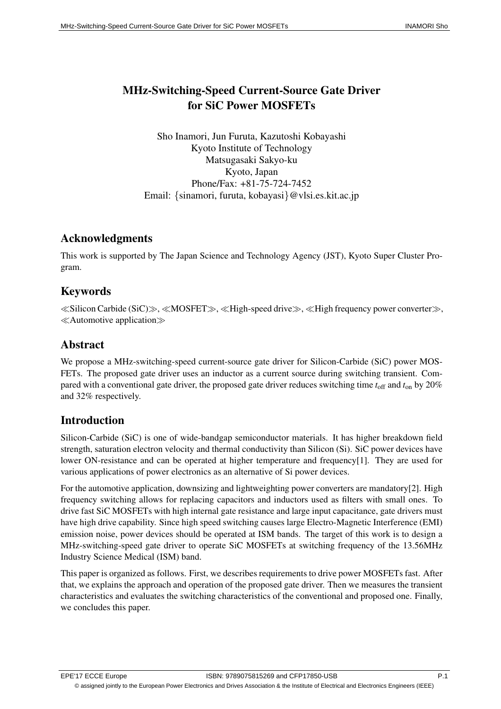# MHz-Switching-Speed Current-Source Gate Driver for SiC Power MOSFETs

Sho Inamori, Jun Furuta, Kazutoshi Kobayashi Kyoto Institute of Technology Matsugasaki Sakyo-ku Kyoto, Japan Phone/Fax: +81-75-724-7452 Email: *{*sinamori, furuta, kobayasi*}*@vlsi.es.kit.ac.jp

### Acknowledgments

This work is supported by The Japan Science and Technology Agency (JST), Kyoto Super Cluster Program.

### Keywords

*≪*Silicon Carbide (SiC)*≫*, *≪*MOSFET*≫*, *≪*High-speed drive*≫*, *≪*High frequency power converter*≫*, *≪*Automotive application*≫*

## Abstract

We propose a MHz-switching-speed current-source gate driver for Silicon-Carbide (SiC) power MOS-FETs. The proposed gate driver uses an inductor as a current source during switching transient. Compared with a conventional gate driver, the proposed gate driver reduces switching time  $t_{\text{off}}$  and  $t_{\text{on}}$  by 20% and 32% respectively.

# Introduction

Silicon-Carbide (SiC) is one of wide-bandgap semiconductor materials. It has higher breakdown field strength, saturation electron velocity and thermal conductivity than Silicon (Si). SiC power devices have lower ON-resistance and can be operated at higher temperature and frequency[1]. They are used for various applications of power electronics as an alternative of Si power devices.

For the automotive application, downsizing and lightweighting power converters are mandatory[2]. High frequency switching allows for replacing capacitors and inductors used as filters with small ones. To drive fast SiC MOSFETs with high internal gate resistance and large input capacitance, gate drivers must have high drive capability. Since high speed switching causes large Electro-Magnetic Interference (EMI) emission noise, power devices should be operated at ISM bands. The target of this work is to design a MHz-switching-speed gate driver to operate SiC MOSFETs at switching frequency of the 13.56MHz Industry Science Medical (ISM) band.

This paper is organized as follows. First, we describes requirements to drive power MOSFETs fast. After that, we explains the approach and operation of the proposed gate driver. Then we measures the transient characteristics and evaluates the switching characteristics of the conventional and proposed one. Finally, we concludes this paper.

© assigned jointly to the European Power Electronics and Drives Association & the Institute of Electrical and Electronics Engineers (IEEE)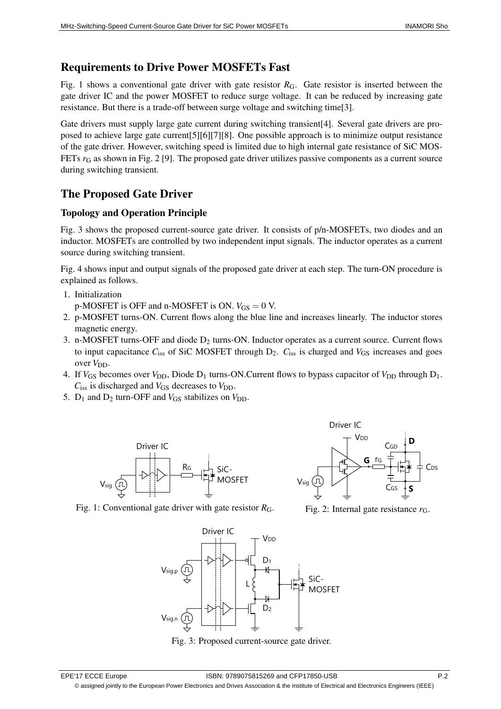### Requirements to Drive Power MOSFETs Fast

Fig. 1 shows a conventional gate driver with gate resistor  $R_G$ . Gate resistor is inserted between the gate driver IC and the power MOSFET to reduce surge voltage. It can be reduced by increasing gate resistance. But there is a trade-off between surge voltage and switching time[3].

Gate drivers must supply large gate current during switching transient[4]. Several gate drivers are proposed to achieve large gate current[5][6][7][8]. One possible approach is to minimize output resistance of the gate driver. However, switching speed is limited due to high internal gate resistance of SiC MOS-FETs *r*<sup>G</sup> as shown in Fig. 2 [9]. The proposed gate driver utilizes passive components as a current source during switching transient.

# The Proposed Gate Driver

### Topology and Operation Principle

Fig. 3 shows the proposed current-source gate driver. It consists of p/n-MOSFETs, two diodes and an inductor. MOSFETs are controlled by two independent input signals. The inductor operates as a current source during switching transient.

Fig. 4 shows input and output signals of the proposed gate driver at each step. The turn-ON procedure is explained as follows.

- 1. Initialization p-MOSFET is OFF and n-MOSFET is ON.  $V_{GS} = 0$  V.
- 2. p-MOSFET turns-ON. Current flows along the blue line and increases linearly. The inductor stores magnetic energy.
- 3. n-MOSFET turns-OFF and diode D<sub>2</sub> turns-ON. Inductor operates as a current source. Current flows to input capacitance *C*<sub>iss</sub> of SiC MOSFET through D<sub>2</sub>. *C*<sub>iss</sub> is charged and *V*<sub>GS</sub> increases and goes over  $V_{DD}$ .
- 4. If  $V_{\text{GS}}$  becomes over  $V_{\text{DD}}$ , Diode D<sub>1</sub> turns-ON.Current flows to bypass capacitor of  $V_{\text{DD}}$  through D<sub>1</sub>.  $C_{\text{iss}}$  is discharged and  $V_{\text{GS}}$  decreases to  $V_{\text{DD}}$ .
- 5.  $D_1$  and  $D_2$  turn-OFF and  $V_{GS}$  stabilizes on  $V_{DD}$ .



Fig. 1: Conventional gate driver with gate resistor  $R_G$ .



Fig. 2: Internal gate resistance *r*G.



Fig. 3: Proposed current-source gate driver.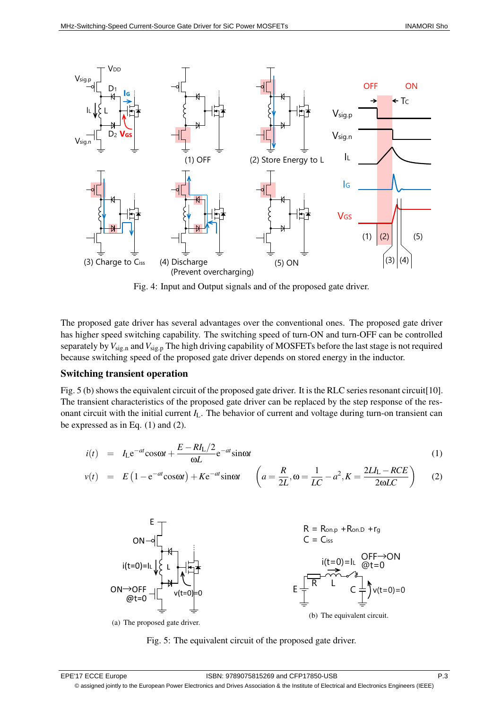

Fig. 4: Input and Output signals and of the proposed gate driver.

The proposed gate driver has several advantages over the conventional ones. The proposed gate driver has higher speed switching capability. The switching speed of turn-ON and turn-OFF can be controlled separately by*V*sig*.*<sup>n</sup> and*V*sig*.*<sup>p</sup> The high driving capability of MOSFETs before the last stage is not required because switching speed of the proposed gate driver depends on stored energy in the inductor.

#### Switching transient operation

Fig. 5 (b) shows the equivalent circuit of the proposed gate driver. It is the RLC series resonant circuit[10]. The transient characteristics of the proposed gate driver can be replaced by the step response of the resonant circuit with the initial current *I*L. The behavior of current and voltage during turn-on transient can be expressed as in Eq. (1) and (2).

$$
i(t) = IL e^{-at} cos\omega t + \frac{E - R I_L/2}{\omega L} e^{-at} sin\omega t
$$
 (1)

$$
v(t) = E\left(1 - e^{-at}\cos\omega t\right) + Ke^{-at}\sin\omega t \qquad \left(a = \frac{R}{2L}, \omega = \frac{1}{LC} - a^2, K = \frac{2LI_L - RCE}{2\omega LC}\right) \tag{2}
$$



(a) The proposed gate driver.

Fig. 5: The equivalent circuit of the proposed gate driver.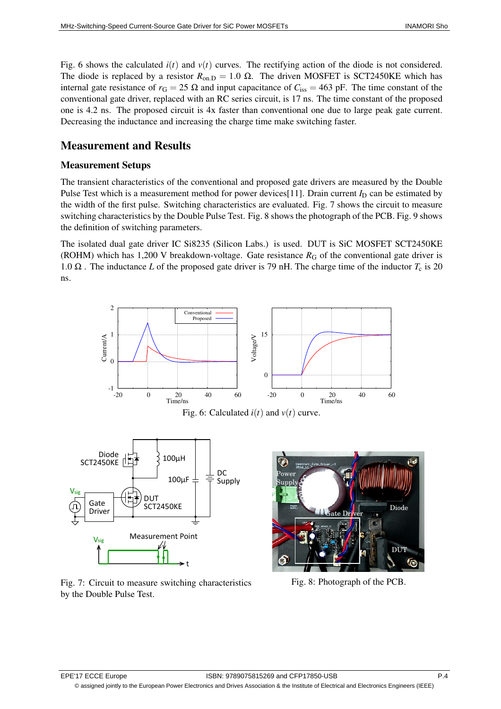Fig. 6 shows the calculated  $i(t)$  and  $v(t)$  curves. The rectifying action of the diode is not considered. The diode is replaced by a resistor  $R_{on,D} = 1.0 \Omega$ . The driven MOSFET is SCT2450KE which has internal gate resistance of  $r_G = 25 \Omega$  and input capacitance of  $C_{\text{iss}} = 463 \text{ pF}$ . The time constant of the conventional gate driver, replaced with an RC series circuit, is 17 ns. The time constant of the proposed one is 4.2 ns. The proposed circuit is 4x faster than conventional one due to large peak gate current. Decreasing the inductance and increasing the charge time make switching faster.

### Measurement and Results

#### Measurement Setups

The transient characteristics of the conventional and proposed gate drivers are measured by the Double Pulse Test which is a measurement method for power devices[11]. Drain current  $I_D$  can be estimated by the width of the first pulse. Switching characteristics are evaluated. Fig. 7 shows the circuit to measure switching characteristics by the Double Pulse Test. Fig. 8 shows the photograph of the PCB. Fig. 9 shows the definition of switching parameters.

The isolated dual gate driver IC Si8235 (Silicon Labs.) is used. DUT is SiC MOSFET SCT2450KE (ROHM) which has 1,200 V breakdown-voltage. Gate resistance  $R_G$  of the conventional gate driver is 1.0  $\Omega$ . The inductance *L* of the proposed gate driver is 79 nH. The charge time of the inductor  $T_c$  is 20 ns.



Fig. 7: Circuit to measure switching characteristics by the Double Pulse Test.

Fig. 8: Photograph of the PCB.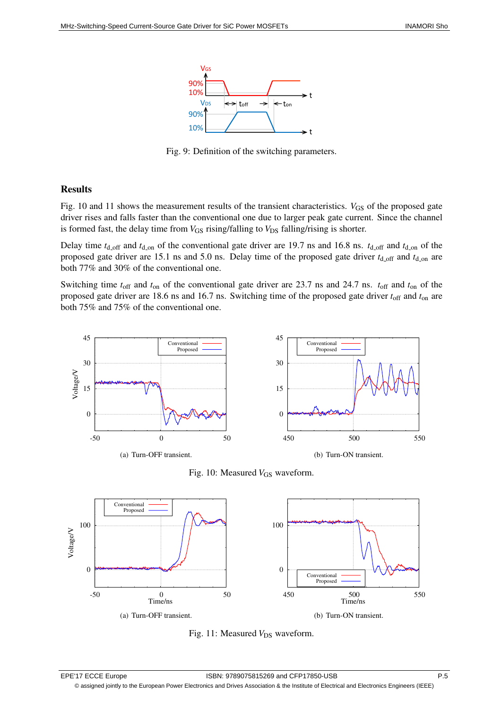

Fig. 9: Definition of the switching parameters.

#### Results

Fig. 10 and 11 shows the measurement results of the transient characteristics. *V*<sub>GS</sub> of the proposed gate driver rises and falls faster than the conventional one due to larger peak gate current. Since the channel is formed fast, the delay time from  $V_{GS}$  rising/falling to  $V_{DS}$  falling/rising is shorter.

Delay time  $t_{d,\text{off}}$  and  $t_{d,\text{on}}$  of the conventional gate driver are 19.7 ns and 16.8 ns.  $t_{d,\text{off}}$  and  $t_{d,\text{on}}$  of the proposed gate driver are 15.1 ns and 5.0 ns. Delay time of the proposed gate driver  $t_{d,\text{off}}$  and  $t_{d,\text{on}}$  are both 77% and 30% of the conventional one.

Switching time  $t_{off}$  and  $t_{on}$  of the conventional gate driver are 23.7 ns and 24.7 ns.  $t_{off}$  and  $t_{on}$  of the proposed gate driver are 18.6 ns and 16.7 ns. Switching time of the proposed gate driver  $t_{off}$  and  $t_{on}$  are both 75% and 75% of the conventional one.



Fig. 10: Measured *V*<sub>GS</sub> waveform.



Fig. 11: Measured *V*<sub>DS</sub> waveform.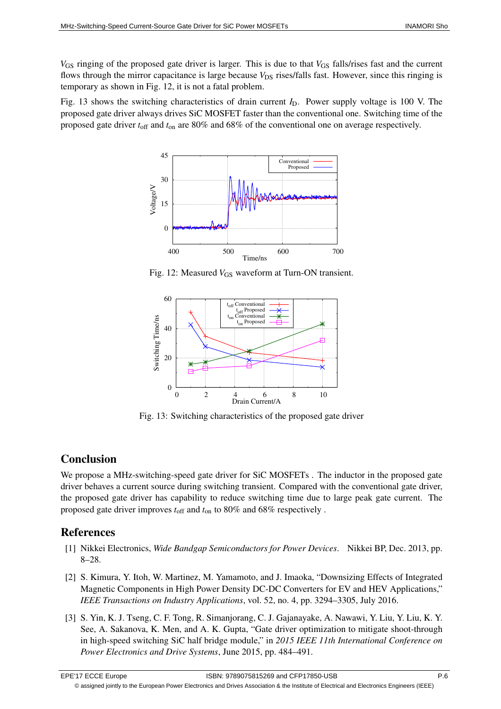*V*<sub>GS</sub> ringing of the proposed gate driver is larger. This is due to that *V*<sub>GS</sub> falls/rises fast and the current flows through the mirror capacitance is large because *V*<sub>DS</sub> rises/falls fast. However, since this ringing is temporary as shown in Fig. 12, it is not a fatal problem.

Fig. 13 shows the switching characteristics of drain current  $I<sub>D</sub>$ . Power supply voltage is 100 V. The proposed gate driver always drives SiC MOSFET faster than the conventional one. Switching time of the proposed gate driver *t*off and *t*on are 80% and 68% of the conventional one on average respectively.



Fig. 12: Measured *V*<sub>GS</sub> waveform at Turn-ON transient.



Fig. 13: Switching characteristics of the proposed gate driver

### Conclusion

We propose a MHz-switching-speed gate driver for SiC MOSFETs. The inductor in the proposed gate driver behaves a current source during switching transient. Compared with the conventional gate driver, the proposed gate driver has capability to reduce switching time due to large peak gate current. The proposed gate driver improves  $t_{\text{off}}$  and  $t_{\text{on}}$  to 80% and 68% respectively.

### References

- [1] Nikkei Electronics, *Wide Bandgap Semiconductors for Power Devices*. Nikkei BP, Dec. 2013, pp. 8–28.
- [2] S. Kimura, Y. Itoh, W. Martinez, M. Yamamoto, and J. Imaoka, "Downsizing Effects of Integrated Magnetic Components in High Power Density DC-DC Converters for EV and HEV Applications," *IEEE Transactions on Industry Applications*, vol. 52, no. 4, pp. 3294–3305, July 2016.
- [3] S. Yin, K. J. Tseng, C. F. Tong, R. Simanjorang, C. J. Gajanayake, A. Nawawi, Y. Liu, Y. Liu, K. Y. See, A. Sakanova, K. Men, and A. K. Gupta, "Gate driver optimization to mitigate shoot-through in high-speed switching SiC half bridge module," in *2015 IEEE 11th International Conference on Power Electronics and Drive Systems*, June 2015, pp. 484–491.

© assigned jointly to the European Power Electronics and Drives Association & the Institute of Electrical and Electronics Engineers (IEEE)